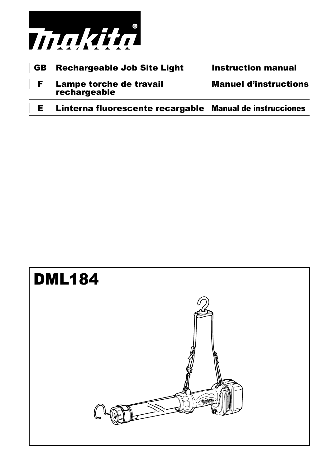

|  | <b>GB</b>   Rechargeable Job Site Light | <b>Instruction manual</b> |
|--|-----------------------------------------|---------------------------|
|--|-----------------------------------------|---------------------------|

F Lampe torche de travail Manuel d'instructions **rechargeable** 

E Linterna fluorescente recargable Manual de instrucciones

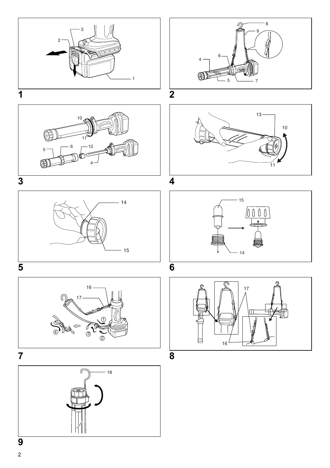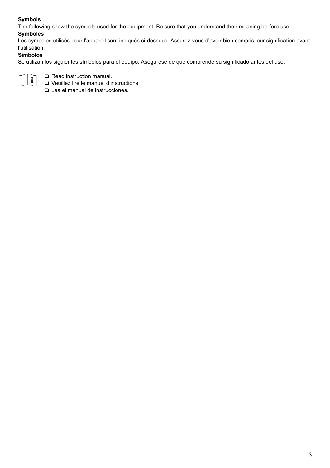#### **Symbols**

The following show the symbols used for the equipment. Be sure that you understand their meaning be-fore use.

#### **Symboles**

Les symboles utilisés pour l'appareil sont indiqués ci-dessous. Assurez-vous d'avoir bien compris leur signification avant l'utilisation.

#### **Símbolos**

Se utilizan los siguientes símbolos para el equipo. Asegúrese de que comprende su significado antes del uso.



❏ Read instruction manual.

❏ Veuillez lire le manuel d'instructions.

❏ Lea el manual de instrucciones.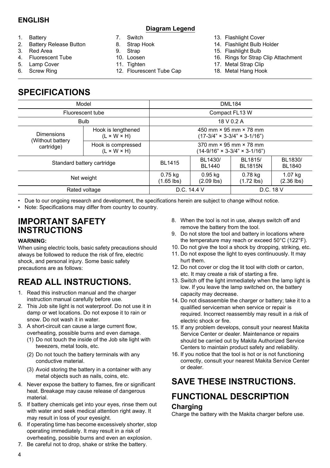#### **ENGLISH**

#### **Diagram Legend**

- 1. Battery
- 2. Battery Release Button
- 3. Red Area
- 4. Fluorescent Tube
- 5. Lamp Cover
- 6. Screw Ring
- 7. Switch
- 8. Strap Hook
- 9. Strap
- 10. Loosen
- 11. Tighten
- 12. Flourescent Tube Cap
- 13. Flashlight Cover
- 14. Flashlight Bulb Holder
- 15. Flashlight Bulb
- 16. Rings for Strap Clip Attachment
- 17. Metal Strap Clip
- 18. Metal Hang Hook

## **SPECIFICATIONS**

| Model                          | <b>DML184</b>                                 |                                                                                     |                         |                           |                   |
|--------------------------------|-----------------------------------------------|-------------------------------------------------------------------------------------|-------------------------|---------------------------|-------------------|
| Fluorescent tube               | Compact FL13 W                                |                                                                                     |                         |                           |                   |
| <b>Bulb</b>                    | 18 V 0.2 A                                    |                                                                                     |                         |                           |                   |
| Dimensions<br>(Without battery | Hook is lengthened<br>$(L \times W \times H)$ | 450 mm $\times$ 95 mm $\times$ 78 mm<br>$(17-3/4" \times 3-3/4" \times 3-1/16")$    |                         |                           |                   |
| cartridge)                     | Hook is compressed<br>$(L \times W \times H)$ | $370$ mm $\times$ 95 mm $\times$ 78 mm<br>$(14-9/16" \times 3-3/4" \times 3-1/16")$ |                         |                           |                   |
| Standard battery cartridge     |                                               | <b>BL1415</b>                                                                       | BL1430/<br>BL1440       | BL1815/<br><b>BL1815N</b> | BL1830/<br>BL1840 |
| Net weight                     | 0.75 kg<br>$(1.65$ lbs)                       | $0.95$ kg<br>$(2.09$ lbs)                                                           | 0.78 kg<br>$(1.72$ lbs) | 1.07 kg<br>$(2.36$ lbs)   |                   |
| Rated voltage                  |                                               | D.C. 14.4 V<br>D.C. 18 V                                                            |                         |                           |                   |

• Due to our ongoing research and development, the specifications herein are subject to change without notice.

• Note: Specifications may differ from country to country.

### **IMPORTANT SAFETY INSTRUCTIONS**

#### **WARNING:**

When using electric tools, basic safety precautions should always be followed to reduce the risk of fire, electric shock, and personal injury. Some basic safety precautions are as follows:

## **READ ALL INSTRUCTIONS.**

- 1. Read this instruction manual and the charger instruction manual carefully before use.
- 2. This Job site light is not waterproof. Do not use it in damp or wet locations. Do not expose it to rain or snow. Do not wash it in water.
- 3. A short-circuit can cause a large current flow, overheating, possible burns and even damage.
	- (1) Do not touch the inside of the Job site light with tweezers, metal tools, etc.
	- (2) Do not touch the battery terminals with any conductive material.
	- (3) Avoid storing the battery in a container with any metal objects such as nails, coins, etc.
- 4. Never expose the battery to flames, fire or significant heat. Breakage may cause release of dangerous material.
- 5. If battery chemicals get into your eyes, rinse them out with water and seek medical attention right away. It may result in loss of your eyesight.
- 6. If operating time has become excessively shorter, stop operating immediately. It may result in a risk of overheating, possible burns and even an explosion.
- 7. Be careful not to drop, shake or strike the battery.
- 8. When the tool is not in use, always switch off and remove the battery from the tool.
- 9. Do not store the tool and battery in locations where the temperature may reach or exceed 50°C (122°F).
- 10. Do not give the tool a shock by dropping, striking, etc.
- 11. Do not expose the light to eyes continuously. It may hurt them.
- 12. Do not cover or clog the lit tool with cloth or carton, etc. It may create a risk of starting a fire.
- 13. Switch off the light immediately when the lamp light is low. If you leave the lamp switched on, the battery capacity may decrease.
- 14. Do not disassemble the charger or battery; take it to a qualified serviceman when service or repair is required. Incorrect reassembly may result in a risk of electric shock or fire.
- 15. If any problem develops, consult your nearest Makita Service Center or dealer. Maintenance or repairs should be carried out by Makita Authorized Service Centers to maintain product safety and reliability.
- 16. If you notice that the tool is hot or is not functioning correctly, consult your nearest Makita Service Center or dealer.

## **SAVE THESE INSTRUCTIONS.**

## **FUNCTIONAL DESCRIPTION Charging**

Charge the battery with the Makita charger before use.

 $\overline{A}$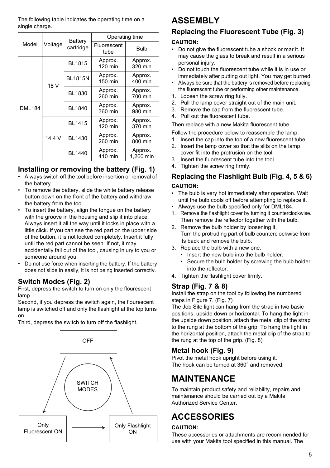The following table indicates the operating time on a single charge.

|               |         | Battery<br>cartridge | Operating time      |                      |  |
|---------------|---------|----------------------|---------------------|----------------------|--|
| Model         | Voltage |                      | Fluorescent<br>tube | Bulb                 |  |
|               |         | <b>BL1815</b>        | Approx.<br>120 min  | Approx.<br>320 min   |  |
|               | 18 V    | <b>BL1815N</b>       | Approx.<br>150 min  | Approx.<br>400 min   |  |
|               | 14.4 V  | <b>BL1830</b>        | Approx.<br>260 min  | Approx.<br>700 min   |  |
| <b>DML184</b> |         | <b>BL1840</b>        | Approx.<br>360 min  | Approx.<br>980 min   |  |
|               |         | <b>BL1415</b>        | Approx.<br>120 min  | Approx.<br>370 min   |  |
|               |         | <b>BL1430</b>        | Approx.<br>260 min  | Approx.<br>800 min   |  |
|               |         | BL1440               | Approx.<br>410 min  | Approx.<br>1.260 min |  |

#### **Installing or removing the battery (Fig. 1)**

- Always switch off the tool before insertion or removal of the battery.
- To remove the battery, slide the white battery release button down on the front of the battery and withdraw the battery from the tool.
- To insert the battery, align the tongue on the battery with the groove in the housing and slip it into place. Always insert it all the way until it locks in place with a little click. If you can see the red part on the upper side of the button, it is not locked completely. Insert it fully until the red part cannot be seen. If not, it may accidentally fall out of the tool, causing injury to you or someone around you.
- Do not use force when inserting the battery. If the battery does not slide in easily, it is not being inserted correctly.

#### **Switch Modes (Fig. 2)**

First, depress the switch to turn on only the flourescent lamp.

Second, if you depress the switch again, the flourescent lamp is switched off and only the flashlight at the top turns on.

Third, depress the switch to turn off the flashlight.



## **ASSEMBLY**

# **Replacing the Fluorescent Tube (Fig. 3)**

#### **CAUTION:**

- Do not give the fluorescent tube a shock or mar it. It may cause the glass to break and result in a serious personal injury.
- Do not touch the fluorescent tube while it is in use or immediately after putting out light. You may get burned.
- Always be sure that the battery is removed before replacing the fluorescent tube or performing other maintenance.
- 1. Loosen the screw ring fully.
- 2. Pull the lamp cover straight out of the main unit.
- 3. Remove the cap from the fluorescent tube.
- 4. Pull out the fluorescent tube.

Then replace with a new Makita fluorescent tube.

Follow the procedure below to reassemble the lamp.

- 1. Insert the cap into the top of a new fluorescent tube.
- 2. Insert the lamp cover so that the slits on the lamp cover fit into the protrusion on the tool.
- 3. Insert the fluorescent tube into the tool.
- 4. Tighten the screw ring firmly.

#### **Replacing the Flashlight Bulb (Fig. 4, 5 & 6) CAUTION:**

- The bulb is very hot immediately after operation. Wait until the bulb cools off before attempting to replace it.
- Always use the bulb specified only for DML184.
- 1. Remove the flashlight cover by turning it counterclockwise. Then remove the reflector together with the bulb.
- 2. Remove the bulb holder by loosening it. Turn the protruding part of bulb counterclockwise from its back and remove the bulb.
- 3. Replace the bulb with a new one.
	- Insert the new bulb into the bulb holder.
	- Secure the bulb holder by screwing the bulb holder into the reflector.
- 4. Tighten the flashlight cover firmly.

#### **Strap (Fig. 7 & 8)**

Install the strap on the tool by following the numbered steps in Figure 7. (Fig. 7)

The Job Site light can hang from the strap in two basic positions, upside down or horizontal. To hang the light in the upside down position, attach the metal clip of the strap to the rung at the bottom of the grip. To hang the light in the horizontal position, attach the metal clip of the strap to the rung at the top of the grip. (Fig. 8)

#### **Metal hook (Fig. 9)**

Pivot the metal hook upright before using it. The hook can be turned at 360° and removed.

## **MAINTENANCE**

To maintain product safety and reliability, repairs and maintenance should be carried out by a Makita Authorized Service Center.

## **ACCESSORIES**

#### **CAUTION:**

These accessories or attachments are recommended for use with your Makita tool specified in this manual. The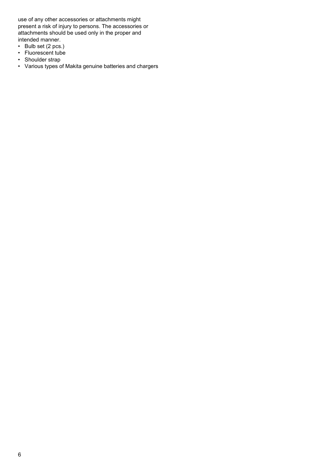use of any other accessories or attachments might present a risk of injury to persons. The accessories or attachments should be used only in the proper and intended manner.

- Bulb set (2 pcs.)
- Fluorescent tube
- Shoulder strap
- Various types of Makita genuine batteries and chargers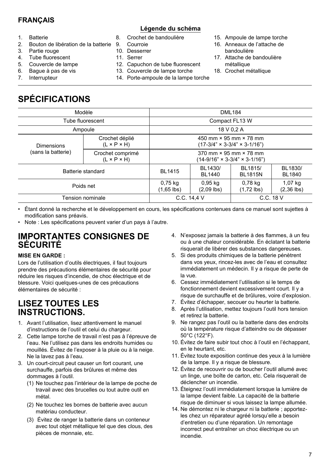#### **FRANÇAIS**

#### **Légende du schéma**

- 1. Batterie
- 2. Bouton de libération de la batterie
- 3. Partie rouge
- 4. Tube fluorescent
- 5. Couvercle de lampe
- 6. Bague à pas de vis
- 7. Interrupteur
- 8. Crochet de bandoulière
- 9. Courroie
- 10. Desserrer
- 11. Serrer
- 12. Capuchon de tube fluorescent
- 13. Couvercle de lampe torche
- 14. Porte-ampoule de la lampe torche
- 15. Ampoule de lampe torche
- 16. Anneaux de l'attache de bandoulière
- 17. Attache de bandoulière métallique
- 18. Crochet métallique

# **SPÉCIFICATIONS**

| Modèle             | <b>DML184</b>                               |                                                                                     |                           |                           |                          |
|--------------------|---------------------------------------------|-------------------------------------------------------------------------------------|---------------------------|---------------------------|--------------------------|
| Tube fluorescent   | Compact FL13 W                              |                                                                                     |                           |                           |                          |
| Ampoule            | 18 V 0.2 A                                  |                                                                                     |                           |                           |                          |
| <b>Dimensions</b>  | Crochet déplié<br>$(L \times P \times H)$   | 450 mm $\times$ 95 mm $\times$ 78 mm<br>$(17-3/4" \times 3-3/4" \times 3-1/16")$    |                           |                           |                          |
| (sans la batterie) | Crochet comprimé<br>$(L \times P \times H)$ | $370$ mm $\times$ 95 mm $\times$ 78 mm<br>$(14-9/16" \times 3-3/4" \times 3-1/16")$ |                           |                           |                          |
| Batterie standard  |                                             | <b>BL1415</b>                                                                       | BL1430/<br>BL1440         | BL1815/<br><b>BL1815N</b> | BL1830/<br><b>BL1840</b> |
| Poids net          |                                             | 0,75 kg<br>$(1,65$ lbs)                                                             | $0.95$ kg<br>$(2,09$ lbs) | 0,78 kg<br>$(1,72$ lbs)   | 1,07 kg<br>$(2,36$ lbs)  |
| Tension nominale   |                                             | C.C. 14.4 V<br>$C.C.$ 18 $V$                                                        |                           |                           |                          |

• Étant donné la recherche et le développement en cours, les spécifications contenues dans ce manuel sont sujettes à modification sans préavis.

• Note : Les spécifications peuvent varier d'un pays à l'autre.

### **IMPORTANTES CONSIGNES DE SÉCURITÉ**

#### **MISE EN GARDE :**

Lors de l'utilisation d'outils électriques, il faut toujours prendre des précautions élémentaires de sécurité pour réduire les risques d'incendie, de choc électrique et de blessure. Voici quelques-unes de ces précautions élémentaires de sécurité :

### **LISEZ TOUTES LES INSTRUCTIONS.**

- 1. Avant l'utilisation, lisez attentivement le manuel d'instructions de l'outil et celui du chargeur.
- 2. Cette lampe torche de travail n'est pas à l'épreuve de l'eau. Ne l'utilisez pas dans les endroits humides ou mouillés. Évitez de l'exposer à la pluie ou à la neige. Ne la lavez pas à l'eau.
- 3. Un court-circuit peut causer un fort courant, une surchauffe, parfois des brûlures et même des dommages à l'outil.
	- (1) Ne touchez pas l'intérieur de la lampe de poche de travail avec des brucelles ou tout autre outil en métal.
	- (2) Ne touchez les bornes de batterie avec aucun matériau conducteur.
	- (3) Évitez de ranger la batterie dans un conteneur avec tout objet métallique tel que des clous, des pièces de monnaie, etc.
- 4. N'exposez jamais la batterie à des flammes, à un feu ou à une chaleur considérable. En éclatant la batterie risquerait de libérer des substances dangereuses.
- 5. Si des produits chimiques de la batterie pénètrent dans vos yeux, rincez-les avec de l'eau et consultez immédiatement un médecin. Il y a risque de perte de la vue.
- 6. Cessez immédiatement l'utilisation si le temps de fonctionnement devient excessivement court. Il y a risque de surchauffe et de brûlures, voire d'explosion.
- 7. Évitez d'échapper, secouer ou heurter la batterie.
- 8. Après l'utilisation, mettez toujours l'outil hors tension et retirez la batterie.
- 9. Ne rangez pas l'outil ou la batterie dans des endroits où la température risque d'atteindre ou de dépasser 50°C (122°F).
- 10. Évitez de faire subir tout choc à l'outil en l'échappant, en le heurtant, etc.
- 11. Évitez toute exposition continue des yeux à la lumière de la lampe. Il y a risque de blessure.
- 12. Évitez de recouvrir ou de boucher l'outil allumé avec un linge, une boîte de carton, etc. Cela risquerait de déclencher un incendie.
- 13. Éteignez l'outil immédiatement lorsque la lumière de la lampe devient faible. La capacité de la batterie risque de diminuer si vous laissez la lampe allumée.
- 14. Ne démontez ni le chargeur ni la batterie ; apportezles chez un réparateur agréé lorsqu'elle a besoin d'entretien ou d'une réparation. Un remontage incorrect peut entraîner un choc électrique ou un incendie.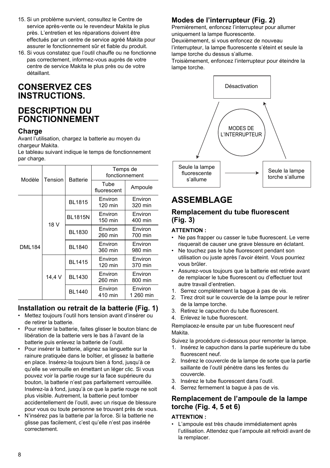- 15. Si un problème survient, consultez le Centre de service après-vente ou le revendeur Makita le plus près. L'entretien et les réparations doivent être effectués par un centre de service agréé Makita pour assurer le fonctionnement sûr et fiable du produit.
- 16. Si vous constatez que l'outil chauffe ou ne fonctionne pas correctement, informez-vous auprès de votre centre de service Makita le plus près ou de votre détaillant.

## **CONSERVEZ CES INSTRUCTIONS.**

## **DESCRIPTION DU FONCTIONNEMENT**

#### **Charge**

Avant l'utilisation, chargez la batterie au moyen du chargeur Makita.

Le tableau suivant indique le temps de fonctionnement par charge.

| Modèle        | Tension | <b>Batterie</b> | Temps de<br>fonctionnement |                      |  |
|---------------|---------|-----------------|----------------------------|----------------------|--|
|               |         |                 | Tube<br>fluorescent        | Ampoule              |  |
|               | 18 V    | <b>BL1815</b>   | Environ<br>120 min         | Environ<br>320 min   |  |
|               |         | <b>BL1815N</b>  | Environ<br>150 min         | Environ<br>400 min   |  |
|               |         | <b>BL1830</b>   | Environ<br>260 min         | Environ<br>700 min   |  |
| <b>DML184</b> |         | <b>BL1840</b>   | Environ<br>360 min         | Environ<br>980 min   |  |
|               |         | <b>BL1415</b>   | Environ<br>120 min         | Environ<br>370 min   |  |
|               | 14,4 V  | BL1430          | Environ<br>260 min         | Environ<br>800 min   |  |
|               |         | <b>BL1440</b>   | Environ<br>410 min         | Environ<br>1 260 min |  |

### **Installation ou retrait de la batterie (Fig. 1)**

- Mettez toujours l'outil hors tension avant d'insérer ou de retirer la batterie.
- Pour retirer la batterie, faites glisser le bouton blanc de libération de la batterie vers le bas à l'avant de la batterie puis enlevez la batterie de l'outil.
- Pour insérer la batterie, alignez sa languette sur la rainure pratiquée dans le boîtier, et glissez la batterie en place. Insérez-la toujours bien à fond, jusqu'à ce qu'elle se verrouille en émettant un léger clic. Si vous pouvez voir la partie rouge sur la face supérieure du bouton, la batterie n'est pas parfaitement verrouillée. Insérez-la à fond, jusqu'à ce que la partie rouge ne soit plus visible. Autrement, la batterie peut tomber accidentellement de l'outil, avec un risque de blessure pour vous ou toute personne se trouvant près de vous.
- N'insérez pas la batterie par la force. Si la batterie ne glisse pas facilement, c'est qu'elle n'est pas insérée correctement.

### **Modes de l'interrupteur (Fig. 2)**

Premièrement, enfoncez l'interrupteur pour allumer uniquement la lampe fluorescente.

Deuxièmement, si vous enfoncez de nouveau

l'interrupteur, la lampe fluorescente s'éteint et seule la lampe torche du dessus s'allume.

Troisièmement, enfoncez l'interrupteur pour éteindre la lampe torche.



## **ASSEMBLAGE**

#### **Remplacement du tube fluorescent (Fig. 3)**

#### **ATTENTION :**

- Ne pas frapper ou casser le tube fluorescent. Le verre risquerait de causer une grave blessure en éclatant.
- Ne touchez pas le tube fluorescent pendant son utilisation ou juste après l'avoir éteint. Vous pourriez vous brûler.
- Assurez-vous toujours que la batterie est retirée avant de remplacer le tube fluorescent ou d'effectuer tout autre travail d'entretien.
- 1. Serrez complètement la bague à pas de vis.
- 2. Tirez droit sur le couvercle de la lampe pour le retirer de la lampe torche.
- 3. Retirez le capuchon du tube fluorescent.
- 4. Enlevez le tube fluorescent.

Remplacez-le ensuite par un tube fluorescent neuf Makita.

Suivez la procédure ci-dessous pour remonter la lampe.

- 1. Insérez le capuchon dans la partie supérieure du tube fluorescent neuf.
- 2. Insérez le couvercle de la lampe de sorte que la partie saillante de l'outil pénètre dans les fentes du couvercle.
- 3. Insérez le tube fluorescent dans l'outil.
- 4. Serrez fermement la bague à pas de vis.

#### **Remplacement de l'ampoule de la lampe torche (Fig. 4, 5 et 6)**

#### **ATTENTION :**

• L'ampoule est très chaude immédiatement après l'utilisation. Attendez que l'ampoule ait refroidi avant de la remplacer.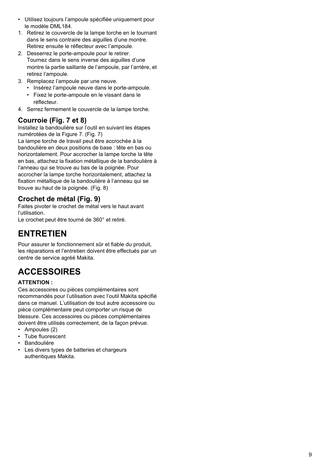- Utilisez toujours l'ampoule spécifiée uniquement pour le modèle DMI 184
- 1. Retirez le couvercle de la lampe torche en le tournant dans le sens contraire des aiguilles d'une montre. Retirez ensuite le réflecteur avec l'ampoule.
- 2. Desserrez le porte-ampoule pour le retirer. Tournez dans le sens inverse des aiguilles d'une montre la partie saillante de l'ampoule, par l'arrière, et retirez l'ampoule.
- 3. Remplacez l'ampoule par une neuve.
	- Insérez l'ampoule neuve dans le porte-ampoule.
	- Fixez le porte-ampoule en le vissant dans le réflecteur.
- 4. Serrez fermement le couvercle de la lampe torche.

### **Courroie (Fig. 7 et 8)**

Installez la bandoulière sur l'outil en suivant les étapes numérotées de la Figure 7. (Fig. 7) La lampe torche de travail peut être accrochée à la bandoulière en deux positions de base : tête en bas ou horizontalement. Pour accrocher la lampe torche la tête en bas, attachez la fixation métallique de la bandoulière à l'anneau qui se trouve au bas de la poignée. Pour accrocher la lampe torche horizontalement, attachez la fixation métallique de la bandoulière à l'anneau qui se trouve au haut de la poignée. (Fig. 8)

### **Crochet de métal (Fig. 9)**

Faites pivoter le crochet de métal vers le haut avant l'utilisation.

Le crochet peut être tourné de 360° et retiré.

## **ENTRETIEN**

Pour assurer le fonctionnement sûr et fiable du produit, les réparations et l'entretien doivent être effectués par un centre de service agréé Makita.

## **ACCESSOIRES**

#### **ATTENTION :**

Ces accessoires ou pièces complémentaires sont recommandés pour l'utilisation avec l'outil Makita spécifié dans ce manuel. L'utilisation de tout autre accessoire ou pièce complémentaire peut comporter un risque de blessure. Ces accessoires ou pièces complémentaires doivent être utilisés correctement, de la façon prévue.

- Ampoules (2)
- Tube fluorescent
- Bandoulière
- Les divers types de batteries et chargeurs authentiques Makita.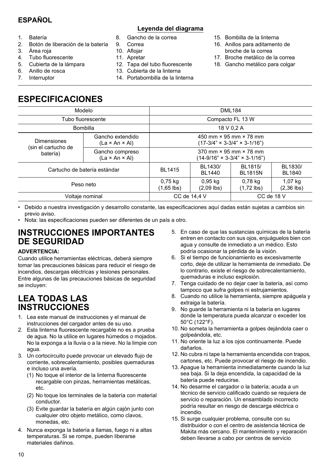## **ESPAÑOL**

#### **Leyenda del diagrama**

- 1. Batería
- 2. Botón de liberación de la batería
- 3. Área roja
- 4. Tubo fluorescente
- 5. Cubierta de la lámpara
- 6. Anillo de rosca
- 7. Interruptor
- 
- 8. Gancho de la correa
- 9. Correa
- 10. Aflojar
- 11. Apretar
- 12. Tapa del tubo fluorescente
- 13. Cubierta de la linterna
- 14. Portabombilla de la linterna
- 15. Bombilla de la linterna
- 16. Anillos para aditamento de broche de la correa
- 17. Broche metálico de la correa
- 18. Gancho metálico para colgar

## **ESPECIFICACIONES**

| Modelo                                    |                                                | <b>DML184</b>                                                                       |                           |                           |                          |
|-------------------------------------------|------------------------------------------------|-------------------------------------------------------------------------------------|---------------------------|---------------------------|--------------------------|
| Tubo fluorescente                         |                                                | Compacto FL 13 W                                                                    |                           |                           |                          |
| <b>Bombilla</b>                           |                                                | 18 V 0.2 A                                                                          |                           |                           |                          |
| <b>Dimensiones</b><br>(sin el cartucho de | Gancho extendido<br>$(La \times An \times Al)$ | 450 mm $\times$ 95 mm $\times$ 78 mm<br>$(17-3/4" \times 3-3/4" \times 3-1/16")$    |                           |                           |                          |
| batería)                                  | Gancho compreso<br>$(La \times An \times Al)$  | $370$ mm $\times$ 95 mm $\times$ 78 mm<br>$(14-9/16" \times 3-3/4" \times 3-1/16")$ |                           |                           |                          |
| Cartucho de batería estándar              |                                                | <b>BL1415</b>                                                                       | BL1430/<br><b>BL1440</b>  | BL1815/<br><b>BL1815N</b> | BL1830/<br><b>BL1840</b> |
| Peso neto                                 |                                                | 0,75 kg<br>$(1,65$ lbs)                                                             | $0.95$ kg<br>$(2,09$ lbs) | 0,78 kg<br>$(1,72$ lbs)   | 1,07 kg<br>$(2,36$ lbs)  |
| Voltaje nominal                           |                                                | CC de 18 V<br>CC de 14.4 V                                                          |                           |                           |                          |

• Debido a nuestra investigación y desarrollo constante, las especificaciones aquí dadas están sujetas a cambios sin previo aviso.

• Nota: las especificaciones pueden ser diferentes de un país a otro.

### **INSTRUCCIONES IMPORTANTES DE SEGURIDAD**

#### **ADVERTENCIA:**

Cuando utilice herramientas eléctricas, deberá siempre tomar las precauciones básicas para reducir el riesgo de incendios, descargas eléctricas y lesiones personales. Entre algunas de las precauciones básicas de seguridad se incluyen:

## **LEA TODAS LAS INSTRUCCIONES**

- 1. Lea este manual de instrucciones y el manual de instrucciones del cargador antes de su uso.
- 2. Esta linterna fluorescente recargable no es a prueba de agua. No la utilice en lugares húmedos o mojados. No la exponga a la lluvia o a la nieve. No la limpie con agua.
- 3. Un cortocircuito puede provocar un elevado flujo de corriente, sobrecalentamiento, posibles quemaduras e incluso una avería.
	- (1) No toque el interior de la linterna fluorescente recargable con pinzas, herramientas metálicas, etc.
	- (2) No toque los terminales de la batería con material conductor.
	- (3) Evite guardar la batería en algún cajón junto con cualquier otro objeto metálico, como clavos, monedas, etc.
- 4. Nunca exponga la batería a llamas, fuego ni a altas temperaturas. Si se rompe, pueden liberarse materiales dañinos.
- 5. En caso de que las sustancias químicas de la batería entren en contacto con sus ojos, enjuáguelos bien con agua y consulte de inmediato a un médico. Esto podría ocasionar la pérdida de la visión.
- 6. Si el tiempo de funcionamiento es excesivamente corto, deje de utilizar la herramienta de inmediato. De lo contrario, existe el riesgo de sobrecalentamiento, quemaduras e incluso explosión.
- 7. Tenga cuidado de no dejar caer la batería, así como tampoco que sufra golpes ni estrujamientos.
- 8. Cuando no utilice la herramienta, siempre apáguela y extraiga la batería.
- 9. No guarde la herramienta ni la batería en lugares donde la temperatura pueda alcanzar o exceder los 50°C (122°F).
- 10. No someta la herramienta a golpes dejándola caer o golpeándola, etc.
- 11. No oriente la luz a los ojos continuamente. Puede dañarlos.
- 12. No cubra ni tape la herramienta encendida con trapos, cartones, etc. Puede provocar el riesgo de incendio.
- 13. Apague la herramienta inmediatamente cuando la luz sea baja. Si la deja encendida, la capacidad de la batería puede reducirse.
- 14. No desarme el cargador o la batería; acuda a un técnico de servicio calificado cuando se requiera de servicio o reparación. Un ensamblado incorrecto podría resultar en riesgo de descarga eléctrica o incendio.
- 15. Si surge cualquier problema, consulte con su distribuidor o con el centro de asistencia técnica de Makita más cercano. El mantenimiento y reparación deben llevarse a cabo por centros de servicio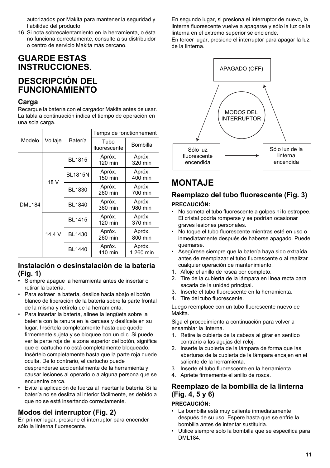autorizados por Makita para mantener la seguridad y fiabilidad del producto.

16. Si nota sobrecalentamiento en la herramienta, o ésta no funciona correctamente, consulte a su distribuidor o centro de servicio Makita más cercano.

### **GUARDE ESTAS INSTRUCCIONES.**

## **DESCRIPCIÓN DEL FUNCIONAMIENTO**

#### **Carga**

Recargue la batería con el cargador Makita antes de usar. La tabla a continuación indica el tiempo de operación en una sola carga.

|               |         | Batería        | Temps de fonctionnement |                     |  |
|---------------|---------|----------------|-------------------------|---------------------|--|
| Modelo        | Voltaje |                | Tubo<br>fluorescente    | Bombilla            |  |
|               |         | <b>BL1815</b>  | Apróx.<br>120 min       | Apróx.<br>320 min   |  |
|               | 18 V    | <b>BL1815N</b> | Apróx.<br>150 min       | Apróx.<br>400 min   |  |
|               | 14,4 V  | <b>BL1830</b>  | Apróx.<br>260 min       | Apróx.<br>700 min   |  |
| <b>DML184</b> |         | <b>BL1840</b>  | Apróx.<br>360 min       | Apróx.<br>980 min   |  |
|               |         | <b>BL1415</b>  | Apróx.<br>120 min       | Apróx.<br>370 min   |  |
|               |         | <b>BL1430</b>  | Apróx.<br>260 min       | Apróx.<br>800 min   |  |
|               |         | <b>BL1440</b>  | Apróx.<br>410 min       | Apróx.<br>1 260 min |  |

#### **Instalación o desinstalación de la batería (Fig. 1)**

- Siempre apague la herramienta antes de insertar o retirar la batería.
- Para extraer la batería, deslice hacia abajo el botón blanco de liberación de la batería sobre la parte frontal de la misma y retírela de la herramienta.
- Para insertar la batería, alinee la lengüeta sobre la batería con la ranura en la carcasa y deslícela en su lugar. Insértela completamente hasta que quede firmemente sujeta y se bloquee con un clic. Si puede ver la parte roja de la zona superior del botón, significa que el cartucho no está completamente bloqueado. Insértelo completamente hasta que la parte roja quede oculta. De lo contrario, el cartucho puede desprenderse accidentalmente de la herramienta y causar lesiones al operario o a alguna persona que se encuentre cerca.
- Evite la aplicación de fuerza al insertar la batería. Si la batería no se desliza al interior fácilmente, es debido a que no se está insertando correctamente.

#### **Modos del interruptor (Fig. 2)**

En primer lugar, presione el interruptor para encender sólo la linterna fluorescente.

En segundo lugar, si presiona el interruptor de nuevo, la linterna fluorescente vuelve a apagarse y sólo la luz de la linterna en el extremo superior se enciende.

En tercer lugar, presione el interruptor para apagar la luz de la linterna.



## **MONTAJE**

#### **Reemplazo del tubo fluorescente (Fig. 3) PRECAUCIÓN:**

- No someta el tubo fluorescente a golpes ni lo estropee. El cristal podría romperse y se podrían ocasionar graves lesiones personales.
- No toque el tubo fluorescente mientras esté en uso o inmediatamente después de haberse apagado. Puede quemarse.
- Asegúrese siempre que la batería haya sido extraída antes de reemplazar el tubo fluorescente o al realizar cualquier operación de mantenimiento.
- 1. Afloje el anillo de rosca por completo.
- 2. Tire de la cubierta de la lámpara en línea recta para sacarla de la unidad principal.
- 3. Inserte el tubo fluorescente en la herramienta.
- 4. Tire del tubo fluorescente.

Luego reemplace con un tubo fluorescente nuevo de Makita.

Siga el procedimiento a continuación para volver a ensamblar la linterna.

- 1. Retire la cubierta de la cabeza al girar en sentido contrario a las agujas del reloj.
- 2. Inserte la cubierta de la lámpara de forma que las aberturas de la cubierta de la lámpara encajen en el saliente de la herramienta.
- 3. Inserte el tubo fluorescente en la herramienta.
- 4. Apriete firmemente el anillo de rosca.

#### **Reemplazo de la bombilla de la linterna (Fig. 4, 5 y 6)**

#### **PRECAUCIÓN:**

- La bombilla está muy caliente inmediatamente después de su uso. Espere hasta que se enfríe la bombilla antes de intentar sustituirla.
- Utilice siempre sólo la bombilla que se especifica para DML184.